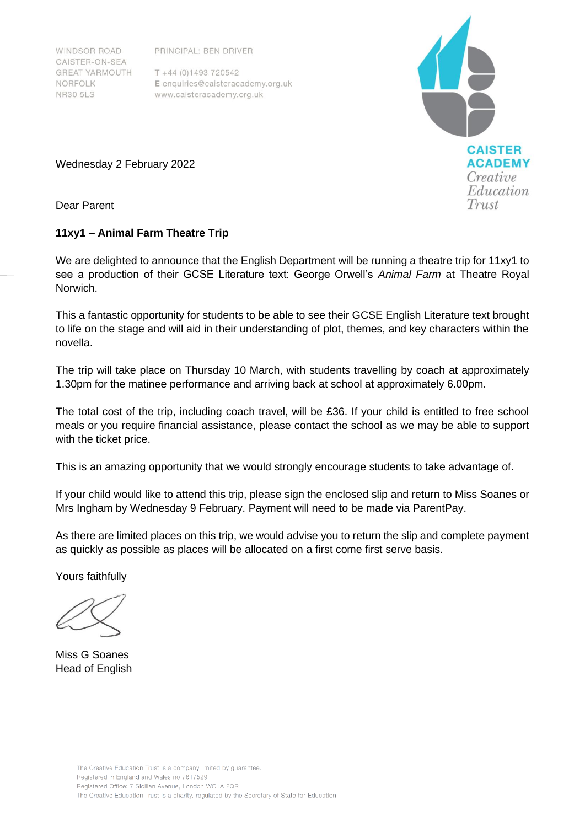PRINCIPAL: BEN DRIVER

WINDSOR ROAD CAISTER-ON-SEA **GREAT YARMOUTH** NORFOLK **NR30 5LS** 

 $T + 44 (0)1493 720542$ E enquiries@caisteracademy.org.uk www.caisteracademy.org.uk



Wednesday 2 February 2022

Dear Parent

## **11xy1 – Animal Farm Theatre Trip**

We are delighted to announce that the English Department will be running a theatre trip for 11xy1 to see a production of their GCSE Literature text: George Orwell's *Animal Farm* at Theatre Royal Norwich.

This a fantastic opportunity for students to be able to see their GCSE English Literature text brought to life on the stage and will aid in their understanding of plot, themes, and key characters within the novella.

The trip will take place on Thursday 10 March, with students travelling by coach at approximately 1.30pm for the matinee performance and arriving back at school at approximately 6.00pm.

The total cost of the trip, including coach travel, will be £36. If your child is entitled to free school meals or you require financial assistance, please contact the school as we may be able to support with the ticket price.

This is an amazing opportunity that we would strongly encourage students to take advantage of.

If your child would like to attend this trip, please sign the enclosed slip and return to Miss Soanes or Mrs Ingham by Wednesday 9 February. Payment will need to be made via ParentPay.

As there are limited places on this trip, we would advise you to return the slip and complete payment as quickly as possible as places will be allocated on a first come first serve basis.

Yours faithfully

Miss G Soanes Head of English